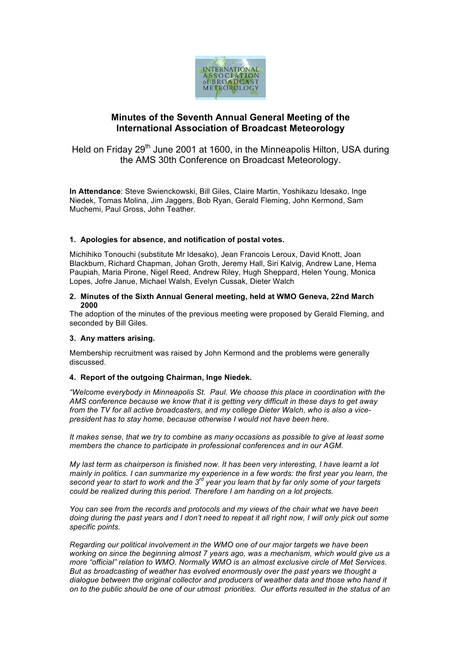

# **Minutes of the Seventh Annual General Meeting of the International Association of Broadcast Meteorology**

Held on Friday 29<sup>th</sup> June 2001 at 1600, in the Minneapolis Hilton, USA during the AMS 30th Conference on Broadcast Meteorology.

**In Attendance**: Steve Swienckowski, Bill Giles, Claire Martin, Yoshikazu Idesako, Inge Niedek, Tomas Molina, Jim Jaggers, Bob Ryan, Gerald Fleming, John Kermond, Sam Muchemi, Paul Gross, John Teather.

## **1. Apologies for absence, and notification of postal votes.**

Michihiko Tonouchi (substitute Mr Idesako), Jean Francois Leroux, David Knott, Joan Blackburn, Richard Chapman, Johan Groth, Jeremy Hall, Siri Kalvig, Andrew Lane, Hema Paupiah, Maria Pirone, Nigel Reed, Andrew Riley, Hugh Sheppard, Helen Young, Monica Lopes, Jofre Janue, Michael Walsh, Evelyn Cussak, Dieter Walch

#### **2. Minutes of the Sixth Annual General meeting, held at WMO Geneva, 22nd March 2000**

The adoption of the minutes of the previous meeting were proposed by Gerald Fleming, and seconded by Bill Giles.

#### **3. Any matters arising.**

Membership recruitment was raised by John Kermond and the problems were generally discussed.

#### **4. Report of the outgoing Chairman, Inge Niedek.**

*"Welcome everybody in Minneapolis St. Paul. We choose this place in coordination with the AMS conference because we know that it is getting very difficult in these days to get away from the TV for all active broadcasters, and my college Dieter Walch, who is also a vicepresident has to stay home, because otherwise I would not have been here.*

*It makes sense, that we try to combine as many occasions as possible to give at least some members the chance to participate in professional conferences and in our AGM.*

*My last term as chairperson is finished now. It has been very interesting, I have learnt a lot mainly in politics. I can summarize my experience in a few words: the first year you learn, the second year to start to work and the 3rd year you learn that by far only some of your targets could be realized during this period. Therefore I am handing on a lot projects.*

*You can see from the records and protocols and my views of the chair what we have been doing during the past years and I don't need to repeat it all right now, I will only pick out some specific points.*

*Regarding our political involvement in the WMO one of our major targets we have been working on since the beginning almost 7 years ago, was a mechanism, which would give us a more "official" relation to WMO. Normally WMO is an almost exclusive circle of Met Services. But as broadcasting of weather has evolved enormously over the past years we thought a dialogue between the original collector and producers of weather data and those who hand it on to the public should be one of our utmost priorities. Our efforts resulted in the status of an*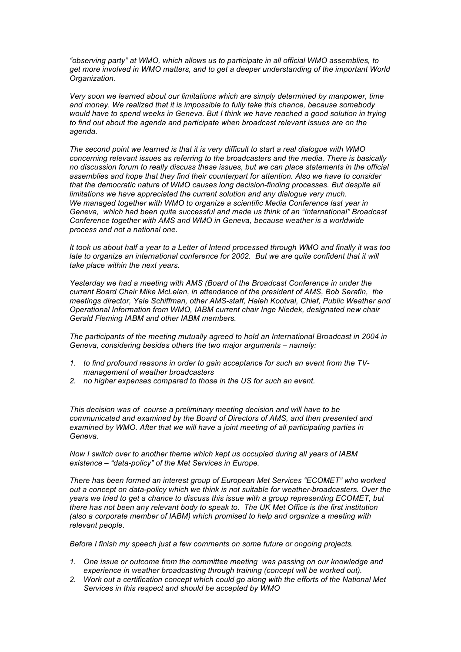*"observing party" at WMO, which allows us to participate in all official WMO assemblies, to get more involved in WMO matters, and to get a deeper understanding of the important World Organization.* 

*Very soon we learned about our limitations which are simply determined by manpower, time and money. We realized that it is impossible to fully take this chance, because somebody would have to spend weeks in Geneva. But I think we have reached a good solution in trying to find out about the agenda and participate when broadcast relevant issues are on the agenda.*

*The second point we learned is that it is very difficult to start a real dialogue with WMO concerning relevant issues as referring to the broadcasters and the media. There is basically no discussion forum to really discuss these issues, but we can place statements in the official assemblies and hope that they find their counterpart for attention. Also we have to consider that the democratic nature of WMO causes long decision-finding processes. But despite all limitations we have appreciated the current solution and any dialogue very much. We managed together with WMO to organize a scientific Media Conference last year in Geneva, which had been quite successful and made us think of an "International" Broadcast Conference together with AMS and WMO in Geneva, because weather is a worldwide process and not a national one.*

*It took us about half a year to a Letter of Intend processed through WMO and finally it was too late to organize an international conference for 2002. But we are quite confident that it will take place within the next years.*

*Yesterday we had a meeting with AMS (Board of the Broadcast Conference in under the current Board Chair Mike McLelan, in attendance of the president of AMS, Bob Serafin, the meetings director, Yale Schiffman, other AMS-staff, Haleh Kootval, Chief, Public Weather and Operational Information from WMO, IABM current chair Inge Niedek, designated new chair Gerald Fleming IABM and other IABM members.*

*The participants of the meeting mutually agreed to hold an International Broadcast in 2004 in Geneva, considering besides others the two major arguments – namely:*

- *1. to find profound reasons in order to gain acceptance for such an event from the TVmanagement of weather broadcasters*
- *2. no higher expenses compared to those in the US for such an event.*

*This decision was of course a preliminary meeting decision and will have to be communicated and examined by the Board of Directors of AMS, and then presented and examined by WMO. After that we will have a joint meeting of all participating parties in Geneva.*

*Now I switch over to another theme which kept us occupied during all years of IABM existence – "data-policy" of the Met Services in Europe.*

*There has been formed an interest group of European Met Services "ECOMET" who worked out a concept on data-policy which we think is not suitable for weather-broadcasters. Over the years we tried to get a chance to discuss this issue with a group representing ECOMET, but there has not been any relevant body to speak to. The UK Met Office is the first institution (also a corporate member of IABM) which promised to help and organize a meeting with relevant people.*

*Before I finish my speech just a few comments on some future or ongoing projects.*

- *1. One issue or outcome from the committee meeting was passing on our knowledge and experience in weather broadcasting through training (concept will be worked out).*
- *2. Work out a certification concept which could go along with the efforts of the National Met Services in this respect and should be accepted by WMO*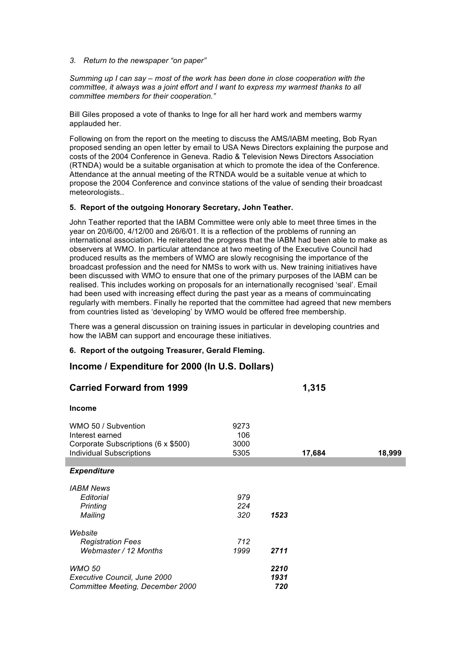*3. Return to the newspaper "on paper"*

*Summing up I can say – most of the work has been done in close cooperation with the committee, it always was a joint effort and I want to express my warmest thanks to all committee members for their cooperation."*

Bill Giles proposed a vote of thanks to Inge for all her hard work and members warmy applauded her.

Following on from the report on the meeting to discuss the AMS/IABM meeting, Bob Ryan proposed sending an open letter by email to USA News Directors explaining the purpose and costs of the 2004 Conference in Geneva. Radio & Television News Directors Association (RTNDA) would be a suitable organisation at which to promote the idea of the Conference. Attendance at the annual meeting of the RTNDA would be a suitable venue at which to propose the 2004 Conference and convince stations of the value of sending their broadcast meteorologists..

## **5. Report of the outgoing Honorary Secretary, John Teather.**

John Teather reported that the IABM Committee were only able to meet three times in the year on 20/6/00, 4/12/00 and 26/6/01. It is a reflection of the problems of running an international association. He reiterated the progress that the IABM had been able to make as observers at WMO. In particular attendance at two meeting of the Executive Council had produced results as the members of WMO are slowly recognising the importance of the broadcast profession and the need for NMSs to work with us. New training initiatives have been discussed with WMO to ensure that one of the primary purposes of the IABM can be realised. This includes working on proposals for an internationally recognised 'seal'. Email had been used with increasing effect during the past year as a means of commuincating regularly with members. Finally he reported that the committee had agreed that new members from countries listed as 'developing' by WMO would be offered free membership.

There was a general discussion on training issues in particular in developing countries and how the IABM can support and encourage these initiatives.

## **6. Report of the outgoing Treasurer, Gerald Fleming.**

# **Income / Expenditure for 2000 (In U.S. Dollars)**

| <b>Carried Forward from 1999</b>       |             |      | 1,315  |        |
|----------------------------------------|-------------|------|--------|--------|
| <b>Income</b>                          |             |      |        |        |
| WMO 50 / Subvention<br>Interest earned | 9273<br>106 |      |        |        |
| Corporate Subscriptions (6 x \$500)    | 3000        |      |        |        |
| <b>Individual Subscriptions</b>        | 5305        |      | 17,684 | 18,999 |
| <b>Expenditure</b>                     |             |      |        |        |
| <b>IABM News</b>                       |             |      |        |        |
| Editorial                              | 979         |      |        |        |
| Printing                               | 224         |      |        |        |
| Mailing                                | 320         | 1523 |        |        |
| Website                                |             |      |        |        |
| <b>Registration Fees</b>               | 712         |      |        |        |
| Webmaster / 12 Months                  | 1999        | 2711 |        |        |
| <b>WMO 50</b>                          |             | 2210 |        |        |
| Executive Council, June 2000           |             | 1931 |        |        |
| Committee Meeting, December 2000       |             | 720  |        |        |